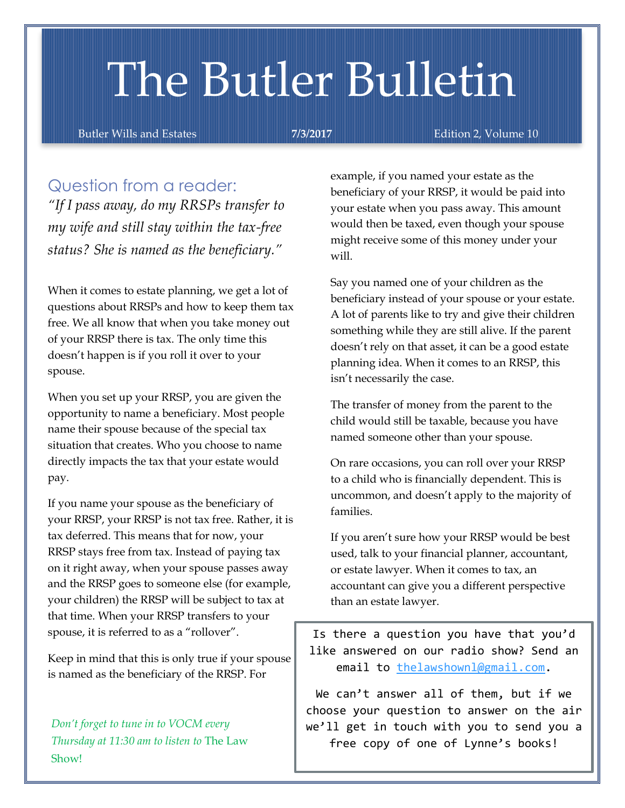# The Butler Bulletin

Butler Wills and Estates **7/3/2017** Edition 2, Volume 10

## Question from a reader:

*"If I pass away, do my RRSPs transfer to my wife and still stay within the tax-free status? She is named as the beneficiary."*

When it comes to estate planning, we get a lot of questions about RRSPs and how to keep them tax free. We all know that when you take money out of your RRSP there is tax. The only time this doesn't happen is if you roll it over to your spouse.

When you set up your RRSP, you are given the opportunity to name a beneficiary. Most people name their spouse because of the special tax situation that creates. Who you choose to name directly impacts the tax that your estate would pay.

If you name your spouse as the beneficiary of your RRSP, your RRSP is not tax free. Rather, it is tax deferred. This means that for now, your RRSP stays free from tax. Instead of paying tax on it right away, when your spouse passes away and the RRSP goes to someone else (for example, your children) the RRSP will be subject to tax at that time. When your RRSP transfers to your spouse, it is referred to as a "rollover".

Keep in mind that this is only true if your spouse is named as the beneficiary of the RRSP. For

*Don't forget to tune in to VOCM every Thursday at 11:30 am to listen to* The Law Show!

example, if you named your estate as the beneficiary of your RRSP, it would be paid into your estate when you pass away. This amount would then be taxed, even though your spouse might receive some of this money under your will.

Say you named one of your children as the beneficiary instead of your spouse or your estate. A lot of parents like to try and give their children something while they are still alive. If the parent doesn't rely on that asset, it can be a good estate planning idea. When it comes to an RRSP, this isn't necessarily the case.

The transfer of money from the parent to the child would still be taxable, because you have named someone other than your spouse.

On rare occasions, you can roll over your RRSP to a child who is financially dependent. This is uncommon, and doesn't apply to the majority of families.

If you aren't sure how your RRSP would be best used, talk to your financial planner, accountant, or estate lawyer. When it comes to tax, an accountant can give you a different perspective than an estate lawyer.

Is there a question you have that you'd like answered on our radio show? Send an email to [thelawshownl@gmail.com.](mailto:thelawshownl@gmail.com)

We can't answer all of them, but if we choose your question to answer on the air we'll get in touch with you to send you a free copy of one of Lynne's books!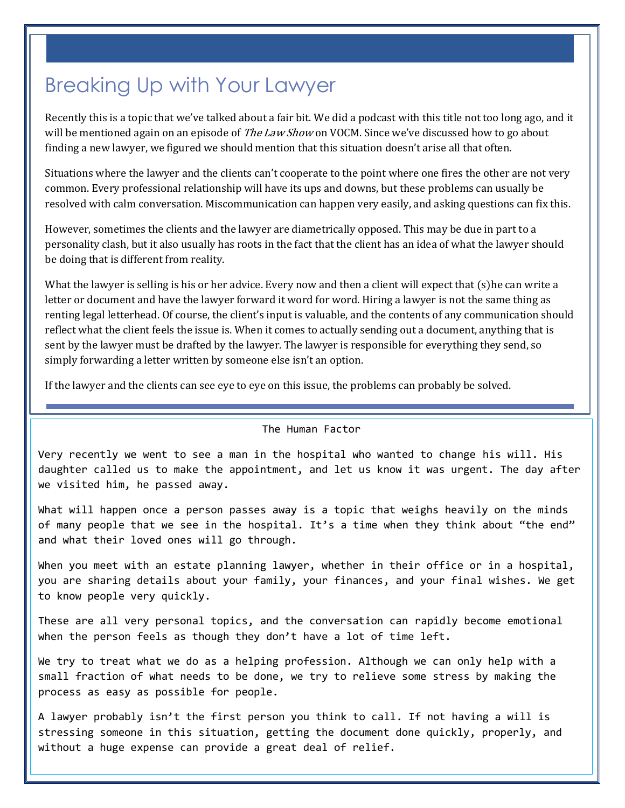# Breaking Up with Your Lawyer

Recently this is a topic that we've talked about a fair bit. We did a podcast with this title not too long ago, and it will be mentioned again on an episode of *The Law Show* on VOCM. Since we've discussed how to go about finding a new lawyer, we figured we should mention that this situation doesn't arise all that often.

Situations where the lawyer and the clients can't cooperate to the point where one fires the other are not very common. Every professional relationship will have its ups and downs, but these problems can usually be resolved with calm conversation. Miscommunication can happen very easily, and asking questions can fix this.

However, sometimes the clients and the lawyer are diametrically opposed. This may be due in part to a personality clash, but it also usually has roots in the fact that the client has an idea of what the lawyer should be doing that is different from reality.

What the lawyer is selling is his or her advice. Every now and then a client will expect that (s)he can write a letter or document and have the lawyer forward it word for word. Hiring a lawyer is not the same thing as renting legal letterhead. Of course, the client's input is valuable, and the contents of any communication should reflect what the client feels the issue is. When it comes to actually sending out a document, anything that is sent by the lawyer must be drafted by the lawyer. The lawyer is responsible for everything they send, so simply forwarding a letter written by someone else isn't an option.

If the lawyer and the clients can see eye to eye on this issue, the problems can probably be solved.

The Human Factor

Very recently we went to see a man in the hospital who wanted to change his will. His daughter called us to make the appointment, and let us know it was urgent. The day after we visited him, he passed away.

What will happen once a person passes away is a topic that weighs heavily on the minds of many people that we see in the hospital. It's a time when they think about "the end" and what their loved ones will go through.

When you meet with an estate planning lawyer, whether in their office or in a hospital, you are sharing details about your family, your finances, and your final wishes. We get to know people very quickly.

These are all very personal topics, and the conversation can rapidly become emotional when the person feels as though they don't have a lot of time left.

We try to treat what we do as a helping profession. Although we can only help with a small fraction of what needs to be done, we try to relieve some stress by making the process as easy as possible for people.

A lawyer probably isn't the first person you think to call. If not having a will is stressing someone in this situation, getting the document done quickly, properly, and without a huge expense can provide a great deal of relief.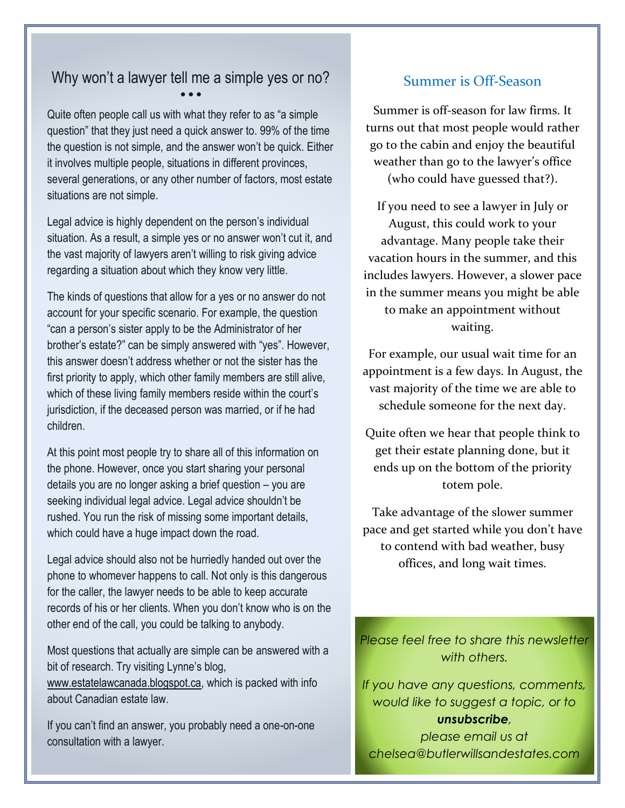#### Why won't a lawyer tell me a simple yes or no? • • •

Quite often people call us with what they refer to as "a simple question" that they just need a quick answer to. 99% of the time the question is not simple, and the answer won't be quick. Either it involves multiple people, situations in different provinces, several generations, or any other number of factors, most estate situations are not simple.

Legal advice is highly dependent on the person's individual situation. As a result, a simple yes or no answer won't cut it, and the vast majority of lawyers aren't willing to risk giving advice regarding a situation about which they know very little.

The kinds of questions that allow for a yes or no answer do not account for your specific scenario. For example, the question "can a person's sister apply to be the Administrator of her brother's estate?" can be simply answered with "yes". However, this answer doesn't address whether or not the sister has the first priority to apply, which other family members are still alive, which of these living family members reside within the court's jurisdiction, if the deceased person was married, or if he had children.

At this point most people try to share all of this information on the phone. However, once you start sharing your personal details you are no longer asking a brief question – you are seeking individual legal advice. Legal advice shouldn't be rushed. You run the risk of missing some important details, which could have a huge impact down the road.

Legal advice should also not be hurriedly handed out over the phone to whomever happens to call. Not only is this dangerous for the caller, the lawyer needs to be able to keep accurate records of his or her clients. When you don't know who is on the other end of the call, you could be talking to anybody.

Most questions that actually are simple can be answered with a bit of research. Try visiting Lynne's blog, [www.estatelawcanada.blogspot.ca,](http://www.estatelawcanada.blogspot.ca/) which is packed with info about Canadian estate law.

If you can't find an answer, you probably need a one-on-one consultation with a lawyer.

### Summer is Off-Season

Summer is off-season for law firms. It turns out that most people would rather go to the cabin and enjoy the beautiful weather than go to the lawyer's office (who could have guessed that?).

If you need to see a lawyer in July or August, this could work to your advantage. Many people take their vacation hours in the summer, and this includes lawyers. However, a slower pace in the summer means you might be able to make an appointment without waiting.

For example, our usual wait time for an appointment is a few days. In August, the vast majority of the time we are able to schedule someone for the next day.

Quite often we hear that people think to get their estate planning done, but it ends up on the bottom of the priority totem pole.

Take advantage of the slower summer pace and get started while you don't have to contend with bad weather, busy offices, and long wait times.

*Please feel free to share this newsletter with others.*

*If you have any questions, comments, would like to suggest a topic, or to unsubscribe, please email us at chelsea@butlerwillsandestates.com*